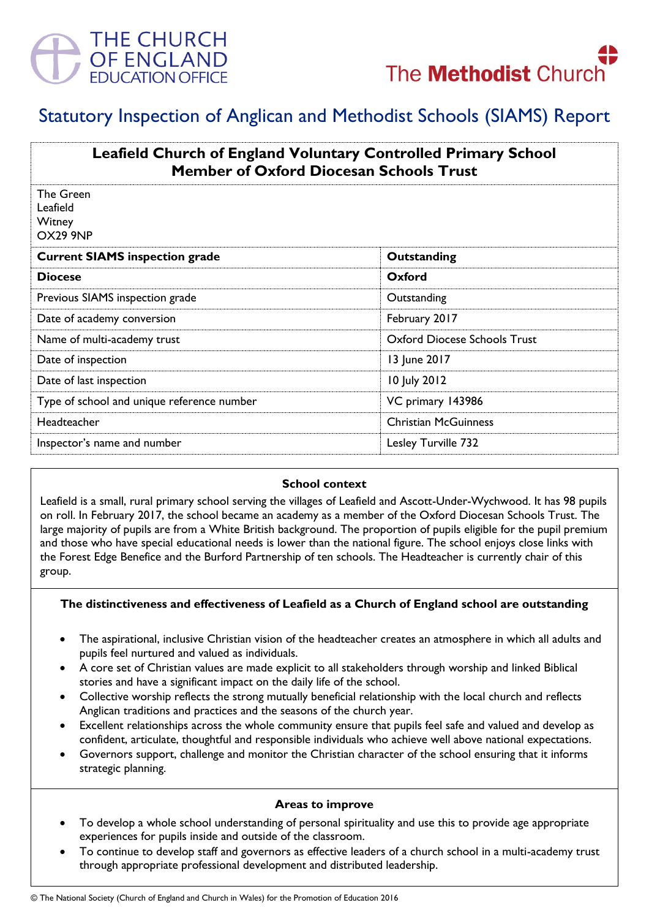



# Statutory Inspection of Anglican and Methodist Schools (SIAMS) Report

| <b>Leafield Church of England Voluntary Controlled Primary School</b><br><b>Member of Oxford Diocesan Schools Trust</b> |                              |
|-------------------------------------------------------------------------------------------------------------------------|------------------------------|
| The Green<br>Leafield<br>Witney<br>OX29 9NP                                                                             |                              |
| <b>Current SIAMS inspection grade</b>                                                                                   | Outstanding                  |
| <b>Diocese</b>                                                                                                          | Oxford                       |
| Previous SIAMS inspection grade                                                                                         | Outstanding                  |
| Date of academy conversion                                                                                              | February 2017                |
| Name of multi-academy trust                                                                                             | Oxford Diocese Schools Trust |
| Date of inspection                                                                                                      | 13 June 2017                 |
| Date of last inspection                                                                                                 | 10 July 2012                 |
| Type of school and unique reference number                                                                              | VC primary 143986            |
| Headteacher                                                                                                             | <b>Christian McGuinness</b>  |
| Inspector's name and number                                                                                             | Lesley Turville 732          |

#### **School context**

Leafield is a small, rural primary school serving the villages of Leafield and Ascott-Under-Wychwood. It has 98 pupils on roll. In February 2017, the school became an academy as a member of the Oxford Diocesan Schools Trust. The large majority of pupils are from a White British background. The proportion of pupils eligible for the pupil premium and those who have special educational needs is lower than the national figure. The school enjoys close links with the Forest Edge Benefice and the Burford Partnership of ten schools. The Headteacher is currently chair of this group.

#### **The distinctiveness and effectiveness of Leafield as a Church of England school are outstanding**

- The aspirational, inclusive Christian vision of the headteacher creates an atmosphere in which all adults and pupils feel nurtured and valued as individuals.
- A core set of Christian values are made explicit to all stakeholders through worship and linked Biblical stories and have a significant impact on the daily life of the school.
- Collective worship reflects the strong mutually beneficial relationship with the local church and reflects Anglican traditions and practices and the seasons of the church year.
- Excellent relationships across the whole community ensure that pupils feel safe and valued and develop as confident, articulate, thoughtful and responsible individuals who achieve well above national expectations.
- Governors support, challenge and monitor the Christian character of the school ensuring that it informs strategic planning.

#### **Areas to improve**

- To develop a whole school understanding of personal spirituality and use this to provide age appropriate experiences for pupils inside and outside of the classroom.
- To continue to develop staff and governors as effective leaders of a church school in a multi-academy trust through appropriate professional development and distributed leadership.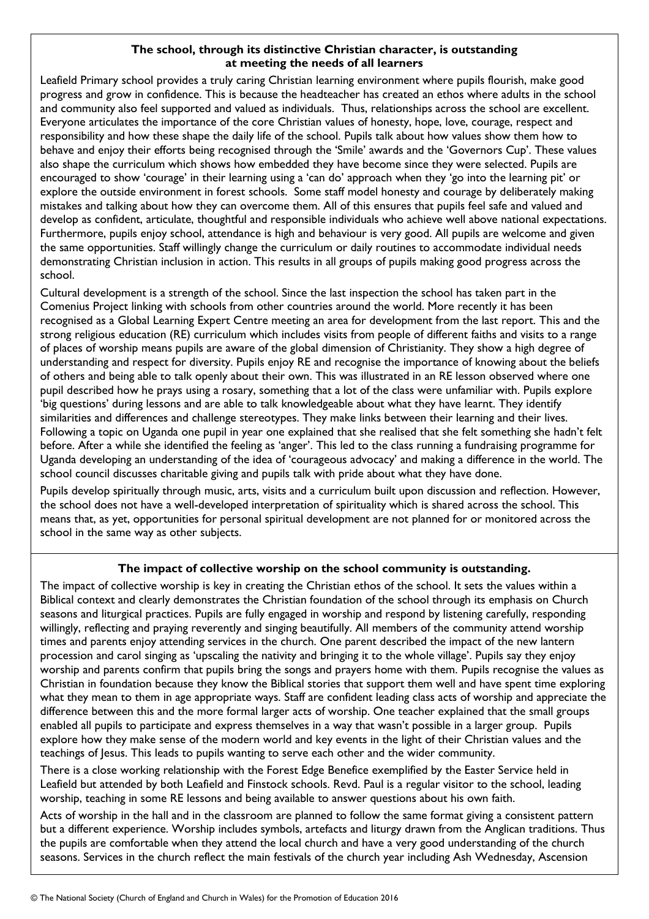## **The school, through its distinctive Christian character, is outstanding at meeting the needs of all learners**

Leafield Primary school provides a truly caring Christian learning environment where pupils flourish, make good progress and grow in confidence. This is because the headteacher has created an ethos where adults in the school and community also feel supported and valued as individuals. Thus, relationships across the school are excellent. Everyone articulates the importance of the core Christian values of honesty, hope, love, courage, respect and responsibility and how these shape the daily life of the school. Pupils talk about how values show them how to behave and enjoy their efforts being recognised through the 'Smile' awards and the 'Governors Cup'. These values also shape the curriculum which shows how embedded they have become since they were selected. Pupils are encouraged to show 'courage' in their learning using a 'can do' approach when they 'go into the learning pit' or explore the outside environment in forest schools. Some staff model honesty and courage by deliberately making mistakes and talking about how they can overcome them. All of this ensures that pupils feel safe and valued and develop as confident, articulate, thoughtful and responsible individuals who achieve well above national expectations. Furthermore, pupils enjoy school, attendance is high and behaviour is very good. All pupils are welcome and given the same opportunities. Staff willingly change the curriculum or daily routines to accommodate individual needs demonstrating Christian inclusion in action. This results in all groups of pupils making good progress across the school.

Cultural development is a strength of the school. Since the last inspection the school has taken part in the Comenius Project linking with schools from other countries around the world. More recently it has been recognised as a Global Learning Expert Centre meeting an area for development from the last report. This and the strong religious education (RE) curriculum which includes visits from people of different faiths and visits to a range of places of worship means pupils are aware of the global dimension of Christianity. They show a high degree of understanding and respect for diversity. Pupils enjoy RE and recognise the importance of knowing about the beliefs of others and being able to talk openly about their own. This was illustrated in an RE lesson observed where one pupil described how he prays using a rosary, something that a lot of the class were unfamiliar with. Pupils explore 'big questions' during lessons and are able to talk knowledgeable about what they have learnt. They identify similarities and differences and challenge stereotypes. They make links between their learning and their lives. Following a topic on Uganda one pupil in year one explained that she realised that she felt something she hadn't felt before. After a while she identified the feeling as 'anger'. This led to the class running a fundraising programme for Uganda developing an understanding of the idea of 'courageous advocacy' and making a difference in the world. The school council discusses charitable giving and pupils talk with pride about what they have done.

Pupils develop spiritually through music, arts, visits and a curriculum built upon discussion and reflection. However, the school does not have a well-developed interpretation of spirituality which is shared across the school. This means that, as yet, opportunities for personal spiritual development are not planned for or monitored across the school in the same way as other subjects.

## **The impact of collective worship on the school community is outstanding.**

The impact of collective worship is key in creating the Christian ethos of the school. It sets the values within a Biblical context and clearly demonstrates the Christian foundation of the school through its emphasis on Church seasons and liturgical practices. Pupils are fully engaged in worship and respond by listening carefully, responding willingly, reflecting and praying reverently and singing beautifully. All members of the community attend worship times and parents enjoy attending services in the church. One parent described the impact of the new lantern procession and carol singing as 'upscaling the nativity and bringing it to the whole village'. Pupils say they enjoy worship and parents confirm that pupils bring the songs and prayers home with them. Pupils recognise the values as Christian in foundation because they know the Biblical stories that support them well and have spent time exploring what they mean to them in age appropriate ways. Staff are confident leading class acts of worship and appreciate the difference between this and the more formal larger acts of worship. One teacher explained that the small groups enabled all pupils to participate and express themselves in a way that wasn't possible in a larger group. Pupils explore how they make sense of the modern world and key events in the light of their Christian values and the teachings of Jesus. This leads to pupils wanting to serve each other and the wider community.

There is a close working relationship with the Forest Edge Benefice exemplified by the Easter Service held in Leafield but attended by both Leafield and Finstock schools. Revd. Paul is a regular visitor to the school, leading worship, teaching in some RE lessons and being available to answer questions about his own faith.

Acts of worship in the hall and in the classroom are planned to follow the same format giving a consistent pattern but a different experience. Worship includes symbols, artefacts and liturgy drawn from the Anglican traditions. Thus the pupils are comfortable when they attend the local church and have a very good understanding of the church seasons. Services in the church reflect the main festivals of the church year including Ash Wednesday, Ascension